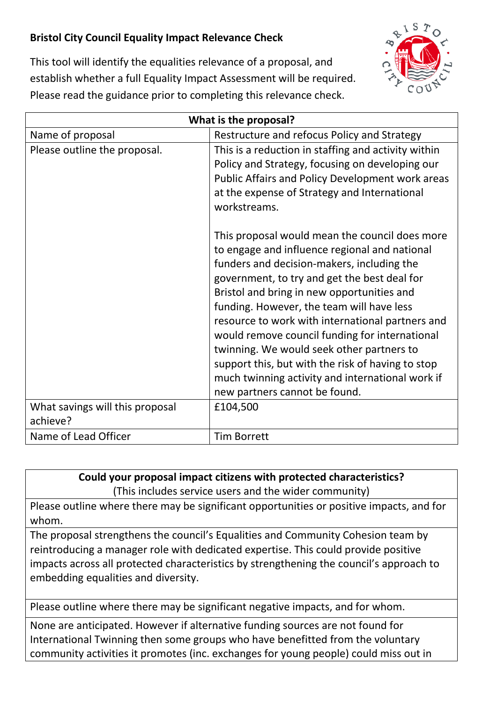## **Bristol City Council Equality Impact Relevance Check**



This tool will identify the equalities relevance of a proposal, and establish whether a full Equality Impact Assessment will be required. Please read the guidance prior to completing this relevance check.

| What is the proposal?                       |                                                                                                                                                                                                                                                                                                                                                                                                                                                                                                                                                                                       |
|---------------------------------------------|---------------------------------------------------------------------------------------------------------------------------------------------------------------------------------------------------------------------------------------------------------------------------------------------------------------------------------------------------------------------------------------------------------------------------------------------------------------------------------------------------------------------------------------------------------------------------------------|
| Name of proposal                            | Restructure and refocus Policy and Strategy                                                                                                                                                                                                                                                                                                                                                                                                                                                                                                                                           |
| Please outline the proposal.                | This is a reduction in staffing and activity within<br>Policy and Strategy, focusing on developing our<br>Public Affairs and Policy Development work areas<br>at the expense of Strategy and International<br>workstreams.                                                                                                                                                                                                                                                                                                                                                            |
|                                             | This proposal would mean the council does more<br>to engage and influence regional and national<br>funders and decision-makers, including the<br>government, to try and get the best deal for<br>Bristol and bring in new opportunities and<br>funding. However, the team will have less<br>resource to work with international partners and<br>would remove council funding for international<br>twinning. We would seek other partners to<br>support this, but with the risk of having to stop<br>much twinning activity and international work if<br>new partners cannot be found. |
| What savings will this proposal<br>achieve? | £104,500                                                                                                                                                                                                                                                                                                                                                                                                                                                                                                                                                                              |
| Name of Lead Officer                        | <b>Tim Borrett</b>                                                                                                                                                                                                                                                                                                                                                                                                                                                                                                                                                                    |

**Could your proposal impact citizens with protected characteristics?** (This includes service users and the wider community)

Please outline where there may be significant opportunities or positive impacts, and for whom.

The proposal strengthens the council's Equalities and Community Cohesion team by reintroducing a manager role with dedicated expertise. This could provide positive impacts across all protected characteristics by strengthening the council's approach to embedding equalities and diversity.

Please outline where there may be significant negative impacts, and for whom.

None are anticipated. However if alternative funding sources are not found for International Twinning then some groups who have benefitted from the voluntary community activities it promotes (inc. exchanges for young people) could miss out in